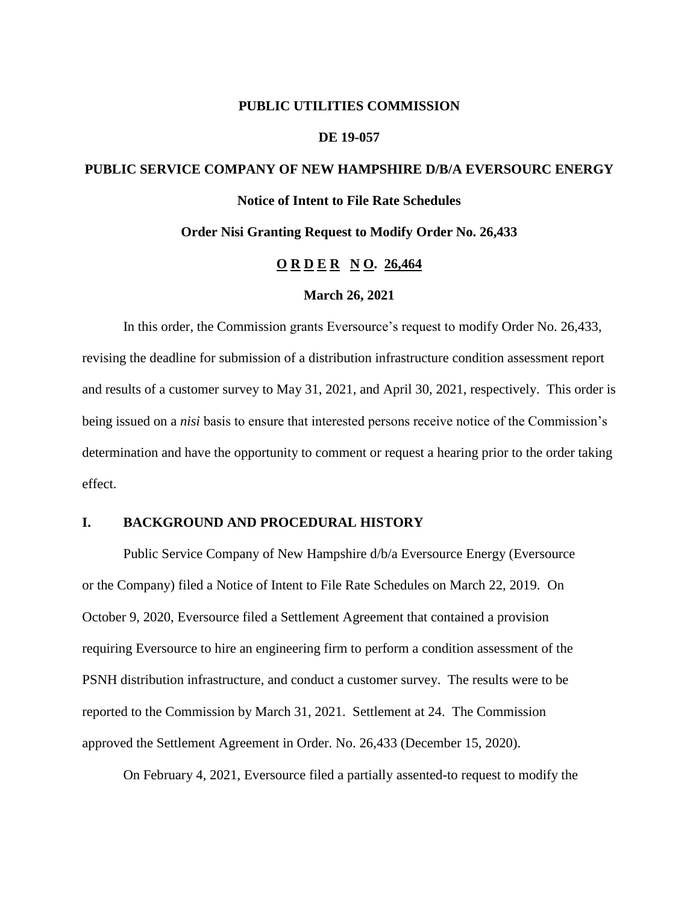#### **PUBLIC UTILITIES COMMISSION**

#### **DE 19-057**

# **PUBLIC SERVICE COMPANY OF NEW HAMPSHIRE D/B/A EVERSOURC ENERGY**

### **Notice of Intent to File Rate Schedules**

#### **Order Nisi Granting Request to Modify Order No. 26,433**

#### **O R D E R N O. 26,464**

#### **March 26, 2021**

In this order, the Commission grants Eversource's request to modify Order No. 26,433, revising the deadline for submission of a distribution infrastructure condition assessment report and results of a customer survey to May 31, 2021, and April 30, 2021, respectively. This order is being issued on a *nisi* basis to ensure that interested persons receive notice of the Commission's determination and have the opportunity to comment or request a hearing prior to the order taking effect.

#### **I. BACKGROUND AND PROCEDURAL HISTORY**

Public Service Company of New Hampshire d/b/a Eversource Energy (Eversource or the Company) filed a Notice of Intent to File Rate Schedules on March 22, 2019. On October 9, 2020, Eversource filed a Settlement Agreement that contained a provision requiring Eversource to hire an engineering firm to perform a condition assessment of the PSNH distribution infrastructure, and conduct a customer survey. The results were to be reported to the Commission by March 31, 2021. Settlement at 24. The Commission approved the Settlement Agreement in Order. No. 26,433 (December 15, 2020).

On February 4, 2021, Eversource filed a partially assented-to request to modify the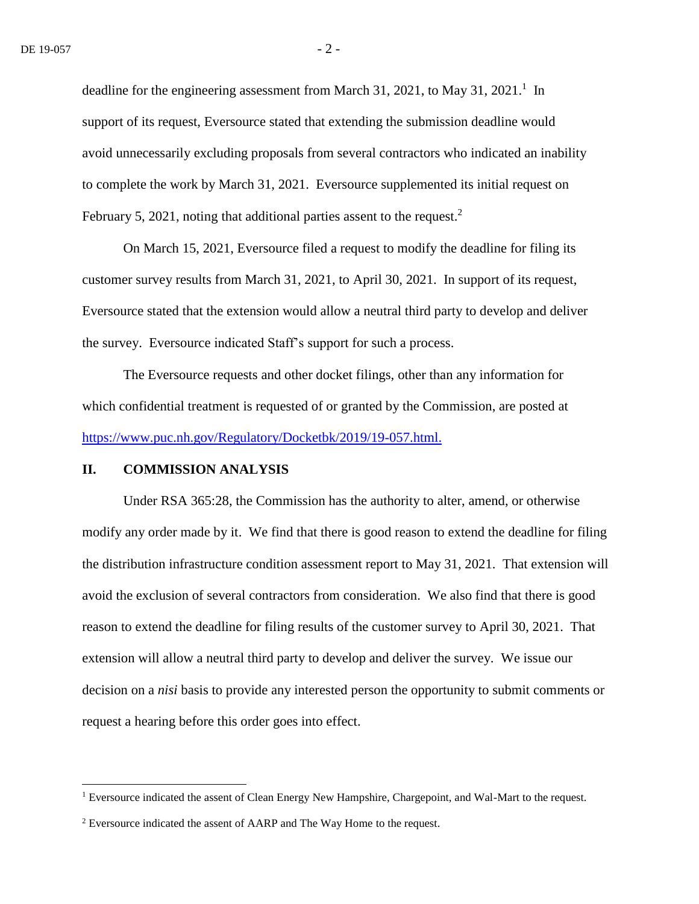deadline for the engineering assessment from March 31, 2021, to May 31, 2021.<sup>1</sup> In support of its request, Eversource stated that extending the submission deadline would avoid unnecessarily excluding proposals from several contractors who indicated an inability to complete the work by March 31, 2021. Eversource supplemented its initial request on February 5, 2021, noting that additional parties assent to the request.<sup>2</sup>

On March 15, 2021, Eversource filed a request to modify the deadline for filing its customer survey results from March 31, 2021, to April 30, 2021. In support of its request, Eversource stated that the extension would allow a neutral third party to develop and deliver the survey. Eversource indicated Staff's support for such a process.

The Eversource requests and other docket filings, other than any information for which confidential treatment is requested of or granted by the Commission, are posted at <https://www.puc.nh.gov/Regulatory/Docketbk/2019/19-057.html.>

#### **II. COMMISSION ANALYSIS**

 $\overline{a}$ 

Under RSA 365:28, the Commission has the authority to alter, amend, or otherwise modify any order made by it. We find that there is good reason to extend the deadline for filing the distribution infrastructure condition assessment report to May 31, 2021. That extension will avoid the exclusion of several contractors from consideration. We also find that there is good reason to extend the deadline for filing results of the customer survey to April 30, 2021. That extension will allow a neutral third party to develop and deliver the survey. We issue our decision on a *nisi* basis to provide any interested person the opportunity to submit comments or request a hearing before this order goes into effect.

<sup>&</sup>lt;sup>1</sup> Eversource indicated the assent of Clean Energy New Hampshire, Chargepoint, and Wal-Mart to the request.

<sup>&</sup>lt;sup>2</sup> Eversource indicated the assent of AARP and The Way Home to the request.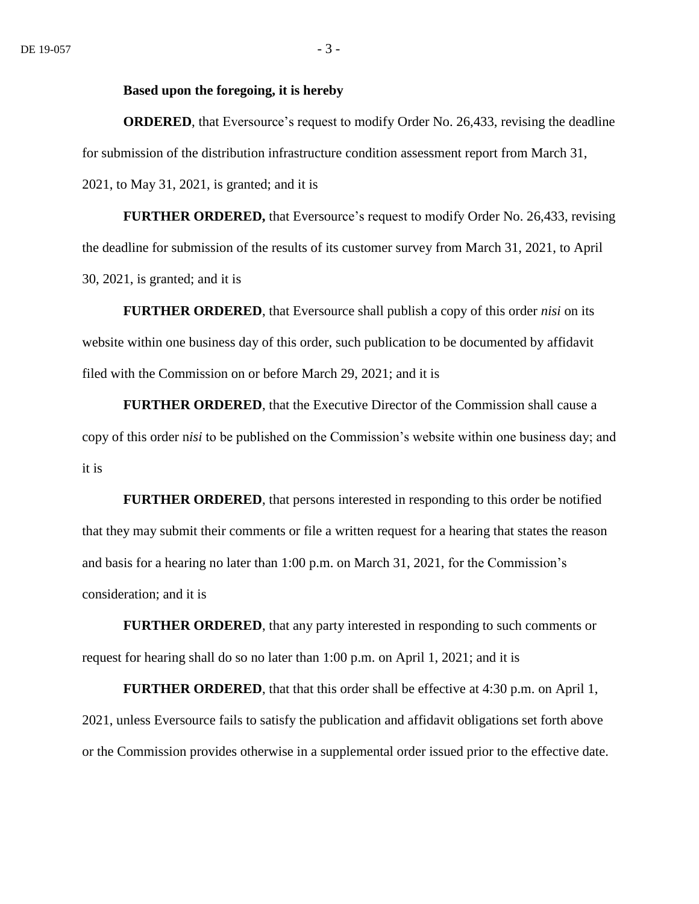#### **Based upon the foregoing, it is hereby**

**ORDERED**, that Eversource's request to modify Order No. 26,433, revising the deadline for submission of the distribution infrastructure condition assessment report from March 31, 2021, to May 31, 2021, is granted; and it is

**FURTHER ORDERED,** that Eversource's request to modify Order No. 26,433, revising the deadline for submission of the results of its customer survey from March 31, 2021, to April 30, 2021, is granted; and it is

**FURTHER ORDERED**, that Eversource shall publish a copy of this order *nisi* on its website within one business day of this order, such publication to be documented by affidavit filed with the Commission on or before March 29, 2021; and it is

**FURTHER ORDERED**, that the Executive Director of the Commission shall cause a copy of this order n*isi* to be published on the Commission's website within one business day; and it is

**FURTHER ORDERED**, that persons interested in responding to this order be notified that they may submit their comments or file a written request for a hearing that states the reason and basis for a hearing no later than 1:00 p.m. on March 31, 2021, for the Commission's consideration; and it is

**FURTHER ORDERED**, that any party interested in responding to such comments or request for hearing shall do so no later than 1:00 p.m. on April 1, 2021; and it is

**FURTHER ORDERED**, that that this order shall be effective at 4:30 p.m. on April 1, 2021, unless Eversource fails to satisfy the publication and affidavit obligations set forth above or the Commission provides otherwise in a supplemental order issued prior to the effective date.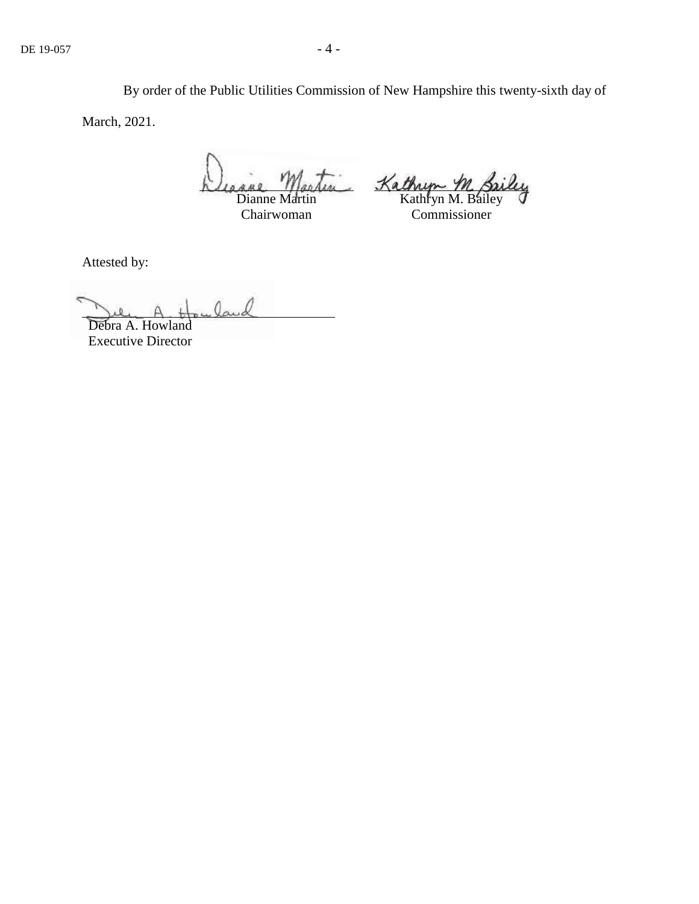By order of the Public Utilities Commission of New Hampshire this twenty-sixth day of March, 2021.

Dianne Martin

Chairwoman

In Kathryn M. Briley

Commissioner

Attested by:

land

Debra A. Howland Executive Director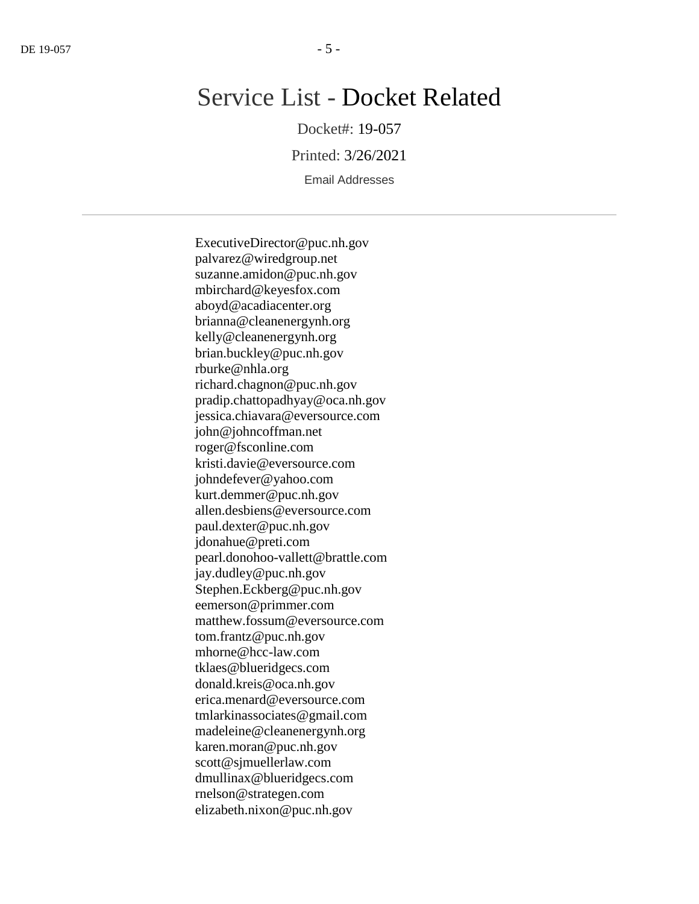## Service List - Docket Related

Docket#: 19-057

Printed: 3/26/2021

Email Addresses

ExecutiveDirector@puc.nh.gov palvarez@wiredgroup.net suzanne.amidon@puc.nh.gov mbirchard@keyesfox.com aboyd@acadiacenter.org brianna@cleanenergynh.org kelly@cleanenergynh.org brian.buckley@puc.nh.gov rburke@nhla.org richard.chagnon@puc.nh.gov pradip.chattopadhyay@oca.nh.gov jessica.chiavara@eversource.com john@johncoffman.net roger@fsconline.com kristi.davie@eversource.com johndefever@yahoo.com kurt.demmer@puc.nh.gov allen.desbiens@eversource.com paul.dexter@puc.nh.gov jdonahue@preti.com pearl.donohoo-vallett@brattle.com jay.dudley@puc.nh.gov Stephen.Eckberg@puc.nh.gov eemerson@primmer.com matthew.fossum@eversource.com tom.frantz@puc.nh.gov mhorne@hcc-law.com tklaes@blueridgecs.com donald.kreis@oca.nh.gov erica.menard@eversource.com tmlarkinassociates@gmail.com madeleine@cleanenergynh.org karen.moran@puc.nh.gov scott@sjmuellerlaw.com dmullinax@blueridgecs.com rnelson@strategen.com elizabeth.nixon@puc.nh.gov